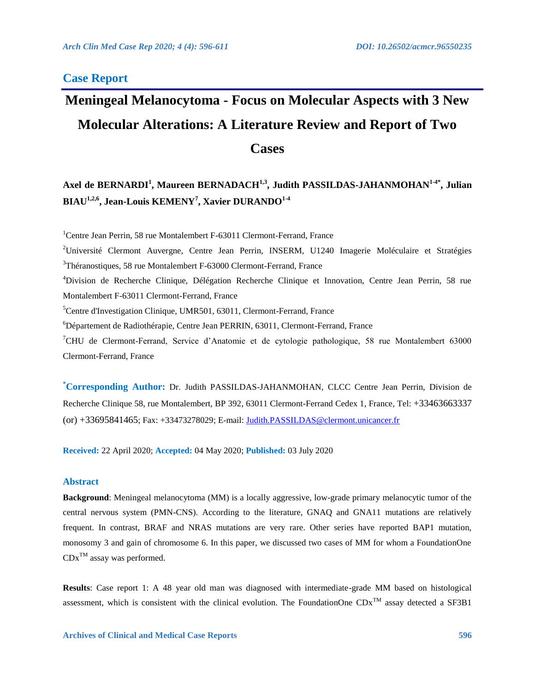# **Case Report**

# **Meningeal Melanocytoma - Focus on Molecular Aspects with 3 New Molecular Alterations: A Literature Review and Report of Two Cases**

# **Axel de BERNARDI<sup>1</sup> , Maureen BERNADACH1,3 , Judith PASSILDAS-JAHANMOHAN1-4\* , Julian BIAU1,2,6, Jean-Louis KEMENY<sup>7</sup> , Xavier DURANDO1-4**

<sup>1</sup>Centre Jean Perrin, 58 rue Montalembert F-63011 Clermont-Ferrand, France

<sup>2</sup>Université Clermont Auvergne, Centre Jean Perrin, INSERM, U1240 Imagerie Moléculaire et Stratégies  $3$ Théranostiques, 58 rue Montalembert F-63000 Clermont-Ferrand, France

<sup>4</sup>Division de Recherche Clinique, Délégation Recherche Clinique et Innovation, Centre Jean Perrin, 58 rue Montalembert F-63011 Clermont-Ferrand, France

<sup>5</sup>Centre d'Investigation Clinique, UMR501, 63011, Clermont-Ferrand, France

<sup>6</sup>Département de Radiothérapie, Centre Jean PERRIN, 63011, Clermont-Ferrand, France

<sup>7</sup>CHU de Clermont-Ferrand, Service d'Anatomie et de cytologie pathologique, 58 rue Montalembert 63000 Clermont-Ferrand, France

**\*Corresponding Author:** Dr. Judith PASSILDAS-JAHANMOHAN, CLCC Centre Jean Perrin, Division de Recherche Clinique 58, rue Montalembert, BP 392, 63011 Clermont-Ferrand Cedex 1, France, Tel: +33463663337 (or) +33695841465; Fax: +33473278029; E-mail: [Judith.PASSILDAS@clermont.unicancer.fr](mailto:Judith.PASSILDAS@clermont.unicancer.fr)

**Received:** 22 April 2020; **Accepted:** 04 May 2020; **Published:** 03 July 2020

# **Abstract**

**Background**: Meningeal melanocytoma (MM) is a locally aggressive, low-grade primary melanocytic tumor of the central nervous system (PMN-CNS). According to the literature, GNAQ and GNA11 mutations are relatively frequent. In contrast, BRAF and NRAS mutations are very rare. Other series have reported BAP1 mutation, monosomy 3 and gain of chromosome 6. In this paper, we discussed two cases of MM for whom a FoundationOne  $CDx^{TM}$  assay was performed.

**Results**: Case report 1: A 48 year old man was diagnosed with intermediate-grade MM based on histological assessment, which is consistent with the clinical evolution. The FoundationOne  $CDx^{TM}$  assay detected a SF3B1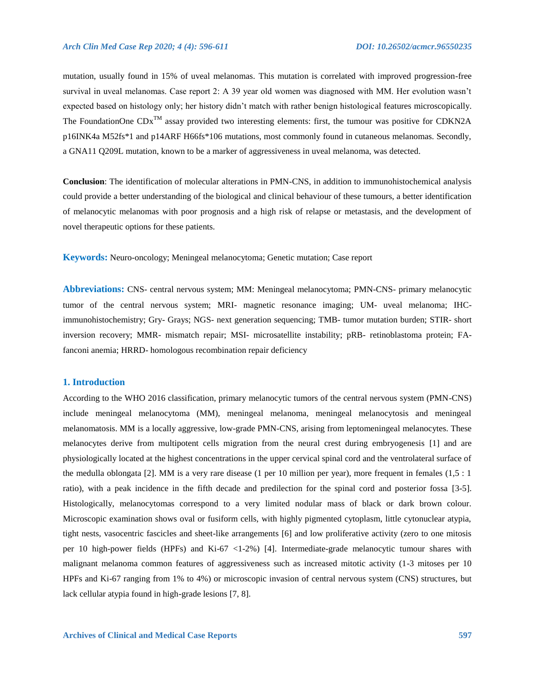mutation, usually found in 15% of uveal melanomas. This mutation is correlated with improved progression-free survival in uveal melanomas. Case report 2: A 39 year old women was diagnosed with MM. Her evolution wasn't expected based on histology only; her history didn't match with rather benign histological features microscopically. The FoundationOne  $CDx^{TM}$  assay provided two interesting elements: first, the tumour was positive for CDKN2A p16INK4a M52fs\*1 and p14ARF H66fs\*106 mutations, most commonly found in cutaneous melanomas. Secondly, a GNA11 Q209L mutation, known to be a marker of aggressiveness in uveal melanoma, was detected.

**Conclusion**: The identification of molecular alterations in PMN-CNS, in addition to immunohistochemical analysis could provide a better understanding of the biological and clinical behaviour of these tumours, a better identification of melanocytic melanomas with poor prognosis and a high risk of relapse or metastasis, and the development of novel therapeutic options for these patients.

**Keywords:** Neuro-oncology; Meningeal melanocytoma; Genetic mutation; Case report

**Abbreviations:** CNS- central nervous system; MM: Meningeal melanocytoma; PMN-CNS- primary melanocytic tumor of the central nervous system; MRI- magnetic resonance imaging; UM- uveal melanoma; IHCimmunohistochemistry; Gry- Grays; NGS- next generation sequencing; TMB- tumor mutation burden; STIR- short inversion recovery; MMR- mismatch repair; MSI- microsatellite instability; pRB- retinoblastoma protein; FAfanconi anemia; HRRD- homologous recombination repair deficiency

#### **1. Introduction**

According to the WHO 2016 classification, primary melanocytic tumors of the central nervous system (PMN-CNS) include meningeal melanocytoma (MM), meningeal melanoma, meningeal melanocytosis and meningeal melanomatosis. MM is a locally aggressive, low-grade PMN-CNS, arising from leptomeningeal melanocytes. These melanocytes derive from multipotent cells migration from the neural crest during embryogenesis [1] and are physiologically located at the highest concentrations in the upper cervical spinal cord and the ventrolateral surface of the medulla oblongata [2]. MM is a very rare disease (1 per 10 million per year), more frequent in females (1,5 : 1 ratio), with a peak incidence in the fifth decade and predilection for the spinal cord and posterior fossa [3-5]. Histologically, melanocytomas correspond to a very limited nodular mass of black or dark brown colour. Microscopic examination shows oval or fusiform cells, with highly pigmented cytoplasm, little cytonuclear atypia, tight nests, vasocentric fascicles and sheet-like arrangements [6] and low proliferative activity (zero to one mitosis per 10 high-power fields (HPFs) and Ki-67 <1-2%) [4]. Intermediate-grade melanocytic tumour shares with malignant melanoma common features of aggressiveness such as increased mitotic activity (1-3 mitoses per 10 HPFs and Ki-67 ranging from 1% to 4%) or microscopic invasion of central nervous system (CNS) structures, but lack cellular atypia found in high-grade lesions [7, 8].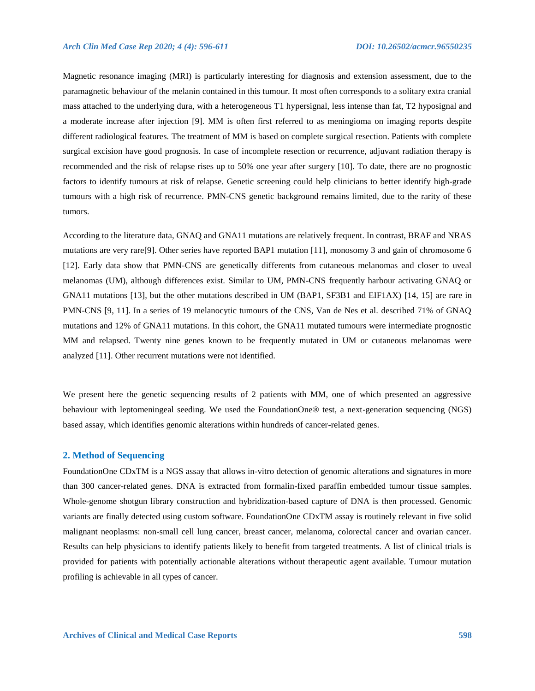Magnetic resonance imaging (MRI) is particularly interesting for diagnosis and extension assessment, due to the paramagnetic behaviour of the melanin contained in this tumour. It most often corresponds to a solitary extra cranial mass attached to the underlying dura, with a heterogeneous T1 hypersignal, less intense than fat, T2 hyposignal and a moderate increase after injection [9]. MM is often first referred to as meningioma on imaging reports despite different radiological features. The treatment of MM is based on complete surgical resection. Patients with complete surgical excision have good prognosis. In case of incomplete resection or recurrence, adjuvant radiation therapy is recommended and the risk of relapse rises up to 50% one year after surgery [10]. To date, there are no prognostic factors to identify tumours at risk of relapse. Genetic screening could help clinicians to better identify high-grade tumours with a high risk of recurrence. PMN-CNS genetic background remains limited, due to the rarity of these tumors.

According to the literature data, GNAQ and GNA11 mutations are relatively frequent. In contrast, BRAF and NRAS mutations are very rare[9]. Other series have reported BAP1 mutation [11], monosomy 3 and gain of chromosome 6 [12]. Early data show that PMN-CNS are genetically differents from cutaneous melanomas and closer to uveal melanomas (UM), although differences exist. Similar to UM, PMN-CNS frequently harbour activating GNAQ or GNA11 mutations [13], but the other mutations described in UM (BAP1, SF3B1 and EIF1AX) [14, 15] are rare in PMN-CNS [9, 11]. In a series of 19 melanocytic tumours of the CNS, Van de Nes et al. described 71% of GNAQ mutations and 12% of GNA11 mutations. In this cohort, the GNA11 mutated tumours were intermediate prognostic MM and relapsed. Twenty nine genes known to be frequently mutated in UM or cutaneous melanomas were analyzed [11]. Other recurrent mutations were not identified.

We present here the genetic sequencing results of 2 patients with MM, one of which presented an aggressive behaviour with leptomeningeal seeding. We used the FoundationOne® test, a next-generation sequencing (NGS) based assay, which identifies genomic alterations within hundreds of cancer-related genes.

# **2. Method of Sequencing**

FoundationOne CDxTM is a NGS assay that allows in-vitro detection of genomic alterations and signatures in more than 300 cancer-related genes. DNA is extracted from formalin-fixed paraffin embedded tumour tissue samples. Whole-genome shotgun library construction and hybridization-based capture of DNA is then processed. Genomic variants are finally detected using custom software. FoundationOne CDxTM assay is routinely relevant in five solid malignant neoplasms: non-small cell lung cancer, breast cancer, melanoma, colorectal cancer and ovarian cancer. Results can help physicians to identify patients likely to benefit from targeted treatments. A list of clinical trials is provided for patients with potentially actionable alterations without therapeutic agent available. Tumour mutation profiling is achievable in all types of cancer.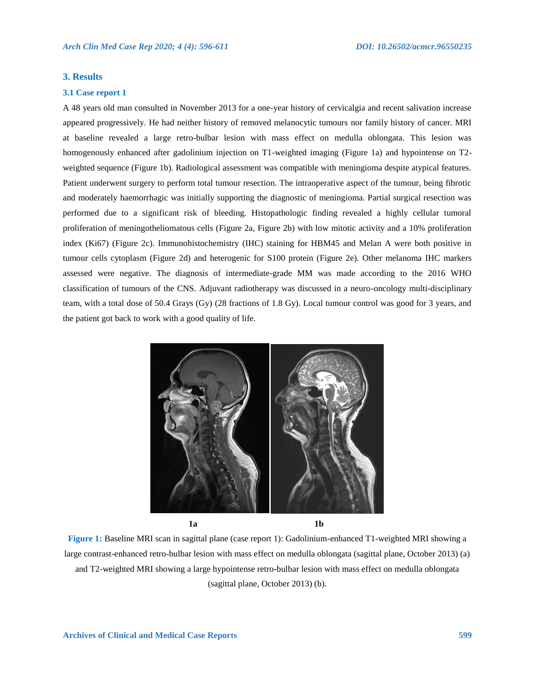# **3. Results**

#### **3.1 Case report 1**

A 48 years old man consulted in November 2013 for a one-year history of cervicalgia and recent salivation increase appeared progressively. He had neither history of removed melanocytic tumours nor family history of cancer. MRI at baseline revealed a large retro-bulbar lesion with mass effect on medulla oblongata. This lesion was homogenously enhanced after gadolinium injection on T1-weighted imaging (Figure 1a) and hypointense on T2 weighted sequence (Figure 1b). Radiological assessment was compatible with meningioma despite atypical features. Patient underwent surgery to perform total tumour resection. The intraoperative aspect of the tumour, being fibrotic and moderately haemorrhagic was initially supporting the diagnostic of meningioma. Partial surgical resection was performed due to a significant risk of bleeding. Histopathologic finding revealed a highly cellular tumoral proliferation of meningotheliomatous cells (Figure 2a, Figure 2b) with low mitotic activity and a 10% proliferation index (Ki67) (Figure 2c). Immunohistochemistry (IHC) staining for HBM45 and Melan A were both positive in tumour cells cytoplasm (Figure 2d) and heterogenic for S100 protein (Figure 2e). Other melanoma IHC markers assessed were negative. The diagnosis of intermediate-grade MM was made according to the 2016 WHO classification of tumours of the CNS. Adjuvant radiotherapy was discussed in a neuro-oncology multi-disciplinary team, with a total dose of 50.4 Grays (Gy) (28 fractions of 1.8 Gy). Local tumour control was good for 3 years, and the patient got back to work with a good quality of life.



**Figure 1:** Baseline MRI scan in sagittal plane (case report 1): Gadolinium-enhanced T1-weighted MRI showing a large contrast-enhanced retro-bulbar lesion with mass effect on medulla oblongata (sagittal plane, October 2013) (a) and T2-weighted MRI showing a large hypointense retro-bulbar lesion with mass effect on medulla oblongata (sagittal plane, October 2013) (b).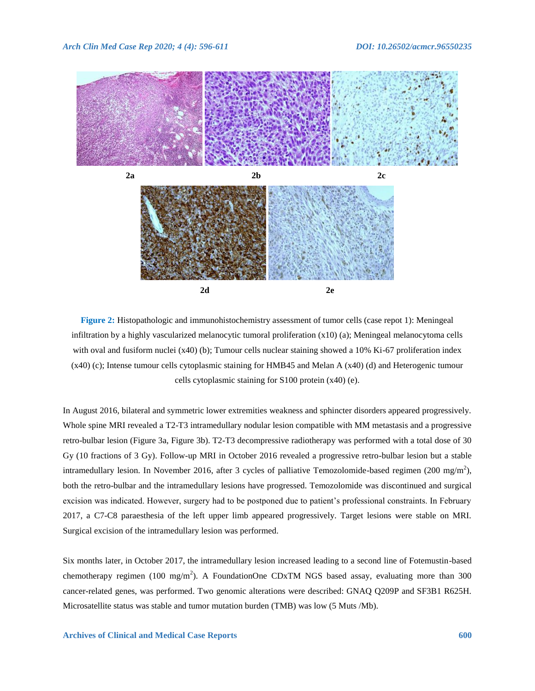

**Figure 2:** Histopathologic and immunohistochemistry assessment of tumor cells (case repot 1): Meningeal infiltration by a highly vascularized melanocytic tumoral proliferation (x10) (a); Meningeal melanocytoma cells with oval and fusiform nuclei (x40) (b); Tumour cells nuclear staining showed a 10% Ki-67 proliferation index (x40) (c); Intense tumour cells cytoplasmic staining for HMB45 and Melan A (x40) (d) and Heterogenic tumour cells cytoplasmic staining for S100 protein (x40) (e).

In August 2016, bilateral and symmetric lower extremities weakness and sphincter disorders appeared progressively. Whole spine MRI revealed a T2-T3 intramedullary nodular lesion compatible with MM metastasis and a progressive retro-bulbar lesion (Figure 3a, Figure 3b). T2-T3 decompressive radiotherapy was performed with a total dose of 30 Gy (10 fractions of 3 Gy). Follow-up MRI in October 2016 revealed a progressive retro-bulbar lesion but a stable intramedullary lesion. In November 2016, after 3 cycles of palliative Temozolomide-based regimen (200 mg/m<sup>2</sup>), both the retro-bulbar and the intramedullary lesions have progressed. Temozolomide was discontinued and surgical excision was indicated. However, surgery had to be postponed due to patient's professional constraints. In February 2017, a C7-C8 paraesthesia of the left upper limb appeared progressively. Target lesions were stable on MRI. Surgical excision of the intramedullary lesion was performed.

Six months later, in October 2017, the intramedullary lesion increased leading to a second line of Fotemustin-based chemotherapy regimen (100 mg/m<sup>2</sup>). A FoundationOne CDxTM NGS based assay, evaluating more than 300 cancer-related genes, was performed. Two genomic alterations were described: GNAQ Q209P and SF3B1 R625H. Microsatellite status was stable and tumor mutation burden (TMB) was low (5 Muts /Mb).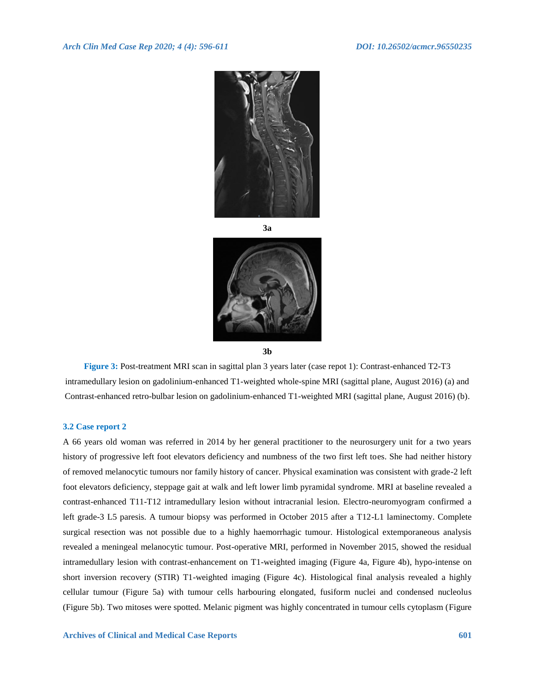

**3a**



**Figure 3:** Post-treatment MRI scan in sagittal plan 3 years later (case repot 1): Contrast-enhanced T2-T3 intramedullary lesion on gadolinium-enhanced T1-weighted whole-spine MRI (sagittal plane, August 2016) (a) and Contrast-enhanced retro-bulbar lesion on gadolinium-enhanced T1-weighted MRI (sagittal plane, August 2016) (b).

# **3.2 Case report 2**

A 66 years old woman was referred in 2014 by her general practitioner to the neurosurgery unit for a two years history of progressive left foot elevators deficiency and numbness of the two first left toes. She had neither history of removed melanocytic tumours nor family history of cancer. Physical examination was consistent with grade-2 left foot elevators deficiency, steppage gait at walk and left lower limb pyramidal syndrome. MRI at baseline revealed a contrast-enhanced T11-T12 intramedullary lesion without intracranial lesion. Electro-neuromyogram confirmed a left grade-3 L5 paresis. A tumour biopsy was performed in October 2015 after a T12-L1 laminectomy. Complete surgical resection was not possible due to a highly haemorrhagic tumour. Histological extemporaneous analysis revealed a meningeal melanocytic tumour. Post-operative MRI, performed in November 2015, showed the residual intramedullary lesion with contrast-enhancement on T1-weighted imaging (Figure 4a, Figure 4b), hypo-intense on short inversion recovery (STIR) T1-weighted imaging (Figure 4c). Histological final analysis revealed a highly cellular tumour (Figure 5a) with tumour cells harbouring elongated, fusiform nuclei and condensed nucleolus (Figure 5b). Two mitoses were spotted. Melanic pigment was highly concentrated in tumour cells cytoplasm (Figure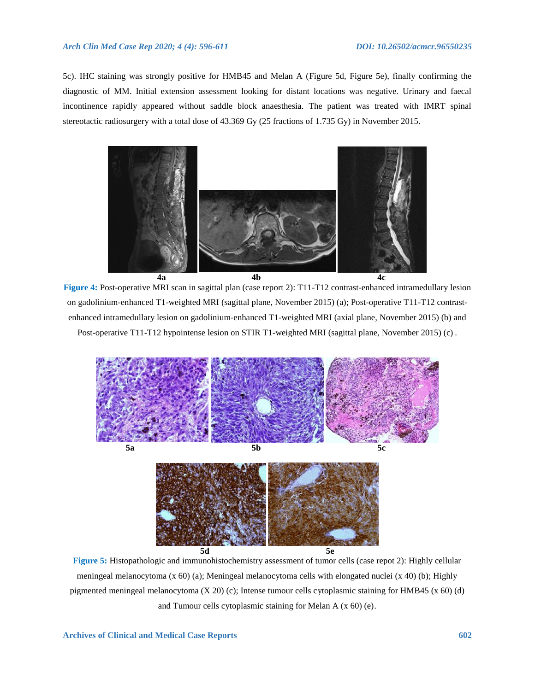5c). IHC staining was strongly positive for HMB45 and Melan A (Figure 5d, Figure 5e), finally confirming the diagnostic of MM. Initial extension assessment looking for distant locations was negative. Urinary and faecal incontinence rapidly appeared without saddle block anaesthesia. The patient was treated with IMRT spinal stereotactic radiosurgery with a total dose of 43.369 Gy (25 fractions of 1.735 Gy) in November 2015.



**Figure 4:** Post-operative MRI scan in sagittal plan (case report 2): T11-T12 contrast-enhanced intramedullary lesion on gadolinium-enhanced T1-weighted MRI (sagittal plane, November 2015) (a); Post-operative T11-T12 contrastenhanced intramedullary lesion on gadolinium-enhanced T1-weighted MRI (axial plane, November 2015) (b) and Post-operative T11-T12 hypointense lesion on STIR T1-weighted MRI (sagittal plane, November 2015) (c) .



**Figure 5:** Histopathologic and immunohistochemistry assessment of tumor cells (case repot 2): Highly cellular meningeal melanocytoma (x 60) (a); Meningeal melanocytoma cells with elongated nuclei (x 40) (b); Highly pigmented meningeal melanocytoma (X 20) (c); Intense tumour cells cytoplasmic staining for HMB45 (x 60) (d) and Tumour cells cytoplasmic staining for Melan A (x 60) (e).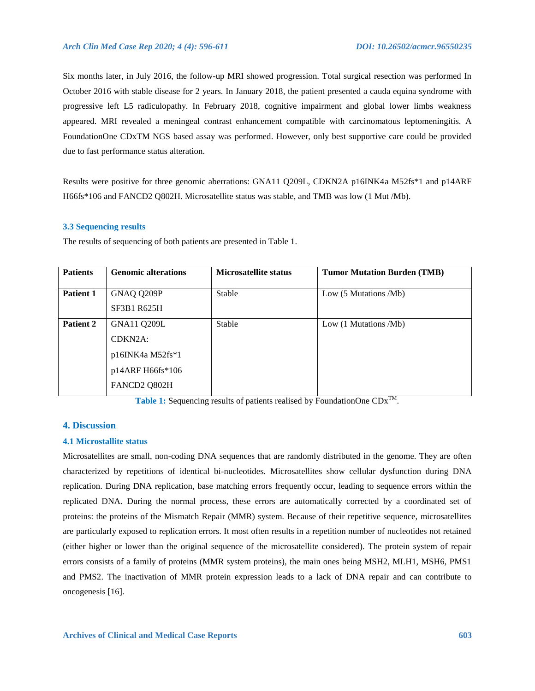Six months later, in July 2016, the follow-up MRI showed progression. Total surgical resection was performed In October 2016 with stable disease for 2 years. In January 2018, the patient presented a cauda equina syndrome with progressive left L5 radiculopathy. In February 2018, cognitive impairment and global lower limbs weakness appeared. MRI revealed a meningeal contrast enhancement compatible with carcinomatous leptomeningitis. A FoundationOne CDxTM NGS based assay was performed. However, only best supportive care could be provided due to fast performance status alteration.

Results were positive for three genomic aberrations: GNA11 Q209L, CDKN2A p16INK4a M52fs\*1 and p14ARF H66fs\*106 and FANCD2 Q802H. Microsatellite status was stable, and TMB was low (1 Mut /Mb).

# **3.3 Sequencing results**

The results of sequencing of both patients are presented in Table 1.

| <b>Patients</b> | <b>Genomic alterations</b>                                                                  | <b>Microsatellite status</b> | <b>Tumor Mutation Burden (TMB)</b>       |
|-----------------|---------------------------------------------------------------------------------------------|------------------------------|------------------------------------------|
| Patient 1       | GNAQ Q209P<br><b>SF3B1 R625H</b>                                                            | Stable                       | Low $(5 \text{ Mutations } / \text{Mb})$ |
| Patient 2       | GNA11 Q209L<br>CDKN <sub>2</sub> A:<br>p16INK4a M52fs*1<br>p14ARF H66fs*106<br>FANCD2 Q802H | Stable                       | Low (1 Mutations /Mb)                    |

Table 1: Sequencing results of patients realised by FoundationOne  $CDx^{TM}$ .

# **4. Discussion**

# **4.1 Microstallite status**

Microsatellites are small, non-coding DNA sequences that are randomly distributed in the genome. They are often characterized by repetitions of identical bi-nucleotides. Microsatellites show cellular dysfunction during DNA replication. During DNA replication, base matching errors frequently occur, leading to sequence errors within the replicated DNA. During the normal process, these errors are automatically corrected by a coordinated set of proteins: the proteins of the Mismatch Repair (MMR) system. Because of their repetitive sequence, microsatellites are particularly exposed to replication errors. It most often results in a repetition number of nucleotides not retained (either higher or lower than the original sequence of the microsatellite considered). The protein system of repair errors consists of a family of proteins (MMR system proteins), the main ones being MSH2, MLH1, MSH6, PMS1 and PMS2. The inactivation of MMR protein expression leads to a lack of DNA repair and can contribute to oncogenesis [16].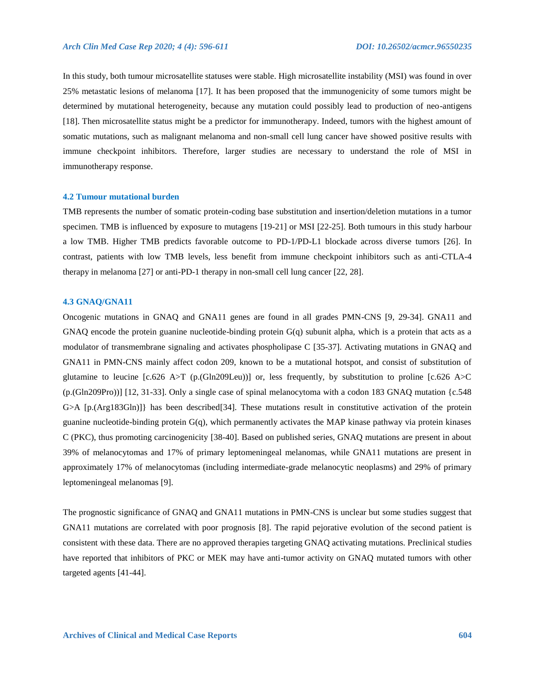In this study, both tumour microsatellite statuses were stable. High microsatellite instability (MSI) was found in over 25% metastatic lesions of melanoma [17]. It has been proposed that the immunogenicity of some tumors might be determined by mutational heterogeneity, because any mutation could possibly lead to production of neo-antigens [18]. Then microsatellite status might be a predictor for immunotherapy. Indeed, tumors with the highest amount of somatic mutations, such as malignant melanoma and non-small cell lung cancer have showed positive results with immune checkpoint inhibitors. Therefore, larger studies are necessary to understand the role of MSI in immunotherapy response.

# **4.2 Tumour mutational burden**

TMB represents the number of somatic protein-coding base substitution and insertion/deletion mutations in a tumor specimen. TMB is influenced by exposure to mutagens [19-21] or MSI [22-25]. Both tumours in this study harbour a low TMB. Higher TMB predicts favorable outcome to PD-1/PD-L1 blockade across diverse tumors [26]. In contrast, patients with low TMB levels, less benefit from immune checkpoint inhibitors such as anti-CTLA-4 therapy in melanoma [27] or anti-PD-1 therapy in non-small cell lung cancer [22, 28].

# **4.3 GNAQ/GNA11**

Oncogenic mutations in GNAQ and GNA11 genes are found in all grades PMN-CNS [9, 29-34]. GNA11 and GNAQ encode the protein guanine nucleotide-binding protein G(q) subunit alpha, which is a protein that acts as a modulator of transmembrane signaling and activates phospholipase C [35-37]. Activating mutations in GNAQ and GNA11 in PMN-CNS mainly affect codon 209, known to be a mutational hotspot, and consist of substitution of glutamine to leucine [c.626 A>T (p.(Gln209Leu))] or, less frequently, by substitution to proline [c.626 A>C (p.(Gln209Pro))] [12, 31-33]. Only a single case of spinal melanocytoma with a codon 183 GNAQ mutation {c.548 G>A [p.(Arg183Gln)]} has been described[34]. These mutations result in constitutive activation of the protein guanine nucleotide-binding protein G(q), which permanently activates the MAP kinase pathway via protein kinases C (PKC), thus promoting carcinogenicity [38-40]. Based on published series, GNAQ mutations are present in about 39% of melanocytomas and 17% of primary leptomeningeal melanomas, while GNA11 mutations are present in approximately 17% of melanocytomas (including intermediate-grade melanocytic neoplasms) and 29% of primary leptomeningeal melanomas [9].

The prognostic significance of GNAQ and GNA11 mutations in PMN-CNS is unclear but some studies suggest that GNA11 mutations are correlated with poor prognosis [8]. The rapid pejorative evolution of the second patient is consistent with these data. There are no approved therapies targeting GNAQ activating mutations. Preclinical studies have reported that inhibitors of PKC or MEK may have anti-tumor activity on GNAQ mutated tumors with other targeted agents [41-44].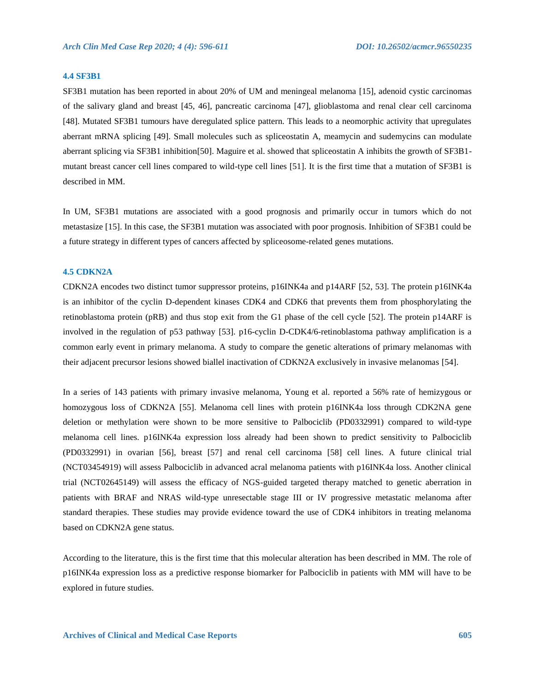#### **4.4 SF3B1**

SF3B1 mutation has been reported in about 20% of UM and meningeal melanoma [15], adenoid cystic carcinomas of the salivary gland and breast [45, 46], pancreatic carcinoma [47], glioblastoma and renal clear cell carcinoma [48]. Mutated SF3B1 tumours have deregulated splice pattern. This leads to a neomorphic activity that upregulates aberrant mRNA splicing [49]. Small molecules such as spliceostatin A, meamycin and sudemycins can modulate aberrant splicing via SF3B1 inhibition[50]. Maguire et al. showed that spliceostatin A inhibits the growth of SF3B1 mutant breast cancer cell lines compared to wild-type cell lines [51]. It is the first time that a mutation of SF3B1 is described in MM.

In UM, SF3B1 mutations are associated with a good prognosis and primarily occur in tumors which do not metastasize [15]. In this case, the SF3B1 mutation was associated with poor prognosis. Inhibition of SF3B1 could be a future strategy in different types of cancers affected by spliceosome-related genes mutations.

#### **4.5 CDKN2A**

CDKN2A encodes two distinct tumor suppressor proteins, p16INK4a and p14ARF [52, 53]. The protein p16INK4a is an inhibitor of the cyclin D-dependent kinases CDK4 and CDK6 that prevents them from phosphorylating the retinoblastoma protein (pRB) and thus stop exit from the G1 phase of the cell cycle [52]. The protein p14ARF is involved in the regulation of p53 pathway [53]. p16-cyclin D-CDK4/6-retinoblastoma pathway amplification is a common early event in primary melanoma. A study to compare the genetic alterations of primary melanomas with their adjacent precursor lesions showed biallel inactivation of CDKN2A exclusively in invasive melanomas [54].

In a series of 143 patients with primary invasive melanoma, Young et al. reported a 56% rate of hemizygous or homozygous loss of CDKN2A [55]. Melanoma cell lines with protein p16INK4a loss through CDK2NA gene deletion or methylation were shown to be more sensitive to Palbociclib (PD0332991) compared to wild-type melanoma cell lines. p16INK4a expression loss already had been shown to predict sensitivity to Palbociclib (PD0332991) in ovarian [56], breast [57] and renal cell carcinoma [58] cell lines. A future clinical trial (NCT03454919) will assess Palbociclib in advanced acral melanoma patients with p16INK4a loss. Another clinical trial (NCT02645149) will assess the efficacy of NGS-guided targeted therapy matched to genetic aberration in patients with BRAF and NRAS wild-type unresectable stage III or IV progressive metastatic melanoma after standard therapies. These studies may provide evidence toward the use of CDK4 inhibitors in treating melanoma based on CDKN2A gene status.

According to the literature, this is the first time that this molecular alteration has been described in MM. The role of p16INK4a expression loss as a predictive response biomarker for Palbociclib in patients with MM will have to be explored in future studies.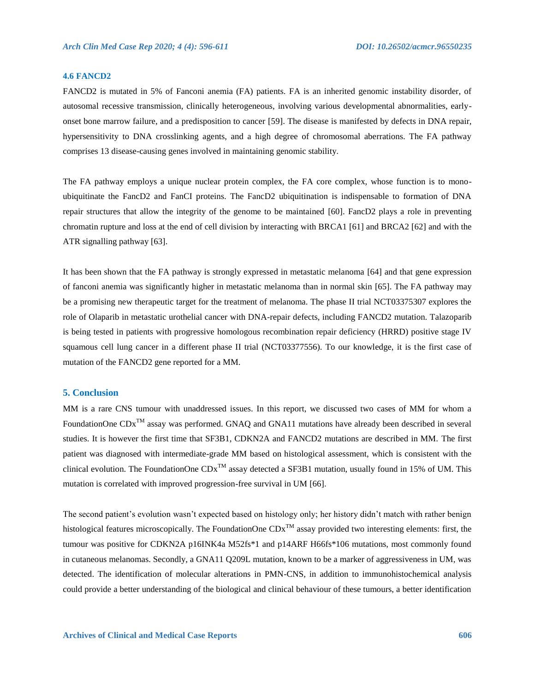# **4.6 FANCD2**

FANCD2 is mutated in 5% of Fanconi anemia (FA) patients. FA is an inherited genomic instability disorder, of autosomal recessive transmission, clinically heterogeneous, involving various developmental abnormalities, earlyonset bone marrow failure, and a predisposition to cancer [59]. The disease is manifested by defects in DNA repair, hypersensitivity to DNA crosslinking agents, and a high degree of chromosomal aberrations. The FA pathway comprises 13 disease-causing genes involved in maintaining genomic stability.

The FA pathway employs a unique nuclear protein complex, the FA core complex, whose function is to monoubiquitinate the FancD2 and FanCI proteins. The FancD2 ubiquitination is indispensable to formation of DNA repair structures that allow the integrity of the genome to be maintained [60]. FancD2 plays a role in preventing chromatin rupture and loss at the end of cell division by interacting with BRCA1 [61] and BRCA2 [62] and with the ATR signalling pathway [63].

It has been shown that the FA pathway is strongly expressed in metastatic melanoma [64] and that gene expression of fanconi anemia was significantly higher in metastatic melanoma than in normal skin [65]. The FA pathway may be a promising new therapeutic target for the treatment of melanoma. The phase II trial NCT03375307 explores the role of Olaparib in metastatic urothelial cancer with DNA-repair defects, including FANCD2 mutation. Talazoparib is being tested in patients with progressive homologous recombination repair deficiency (HRRD) positive stage IV squamous cell lung cancer in a different phase II trial (NCT03377556). To our knowledge, it is the first case of mutation of the FANCD2 gene reported for a MM.

# **5. Conclusion**

MM is a rare CNS tumour with unaddressed issues. In this report, we discussed two cases of MM for whom a FoundationOne CDx<sup>™</sup> assay was performed. GNAQ and GNA11 mutations have already been described in several studies. It is however the first time that SF3B1, CDKN2A and FANCD2 mutations are described in MM. The first patient was diagnosed with intermediate-grade MM based on histological assessment, which is consistent with the clinical evolution. The FoundationOne  $CDx^{TM}$  assay detected a SF3B1 mutation, usually found in 15% of UM. This mutation is correlated with improved progression-free survival in UM [66].

The second patient's evolution wasn't expected based on histology only; her history didn't match with rather benign histological features microscopically. The FoundationOne  $CDx^{TM}$  assay provided two interesting elements: first, the tumour was positive for CDKN2A p16INK4a M52fs\*1 and p14ARF H66fs\*106 mutations, most commonly found in cutaneous melanomas. Secondly, a GNA11 Q209L mutation, known to be a marker of aggressiveness in UM, was detected. The identification of molecular alterations in PMN-CNS, in addition to immunohistochemical analysis could provide a better understanding of the biological and clinical behaviour of these tumours, a better identification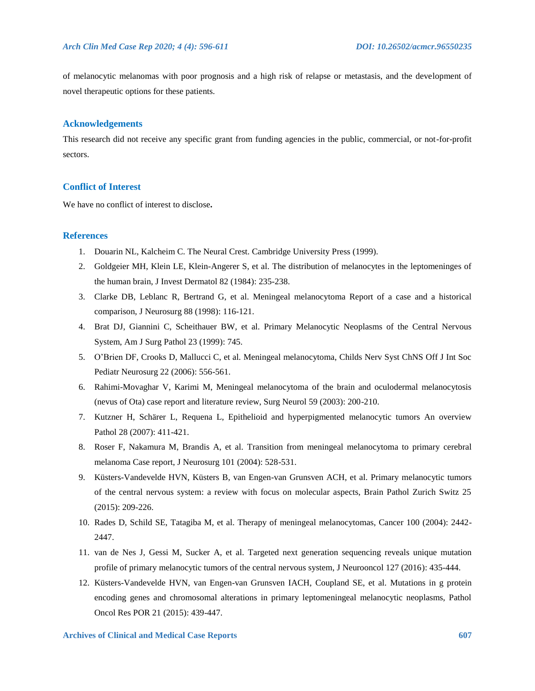of melanocytic melanomas with poor prognosis and a high risk of relapse or metastasis, and the development of novel therapeutic options for these patients.

# **Acknowledgements**

This research did not receive any specific grant from funding agencies in the public, commercial, or not-for-profit sectors.

# **Conflict of Interest**

We have no conflict of interest to disclose**.**

# **References**

- 1. Douarin NL, Kalcheim C. The Neural Crest. Cambridge University Press (1999).
- 2. Goldgeier MH, Klein LE, Klein-Angerer S, et al. The distribution of melanocytes in the leptomeninges of the human brain, J Invest Dermatol 82 (1984): 235-238.
- 3. Clarke DB, Leblanc R, Bertrand G, et al. Meningeal melanocytoma Report of a case and a historical comparison, J Neurosurg 88 (1998): 116-121.
- 4. Brat DJ, Giannini C, Scheithauer BW, et al. Primary Melanocytic Neoplasms of the Central Nervous System, Am J Surg Pathol 23 (1999): 745.
- 5. O'Brien DF, Crooks D, Mallucci C, et al. Meningeal melanocytoma, Childs Nerv Syst ChNS Off J Int Soc Pediatr Neurosurg 22 (2006): 556-561.
- 6. Rahimi-Movaghar V, Karimi M, Meningeal melanocytoma of the brain and oculodermal melanocytosis (nevus of Ota) case report and literature review, Surg Neurol 59 (2003): 200-210.
- 7. Kutzner H, Schärer L, Requena L, Epithelioid and hyperpigmented melanocytic tumors An overview Pathol 28 (2007): 411-421.
- 8. Roser F, Nakamura M, Brandis A, et al. Transition from meningeal melanocytoma to primary cerebral melanoma Case report, J Neurosurg 101 (2004): 528-531.
- 9. Küsters-Vandevelde HVN, Küsters B, van Engen-van Grunsven ACH, et al. Primary melanocytic tumors of the central nervous system: a review with focus on molecular aspects, Brain Pathol Zurich Switz 25 (2015): 209-226.
- 10. Rades D, Schild SE, Tatagiba M, et al. Therapy of meningeal melanocytomas, Cancer 100 (2004): 2442- 2447.
- 11. van de Nes J, Gessi M, Sucker A, et al. Targeted next generation sequencing reveals unique mutation profile of primary melanocytic tumors of the central nervous system, J Neurooncol 127 (2016): 435-444.
- 12. Küsters-Vandevelde HVN, van Engen-van Grunsven IACH, Coupland SE, et al. Mutations in g protein encoding genes and chromosomal alterations in primary leptomeningeal melanocytic neoplasms, Pathol Oncol Res POR 21 (2015): 439-447.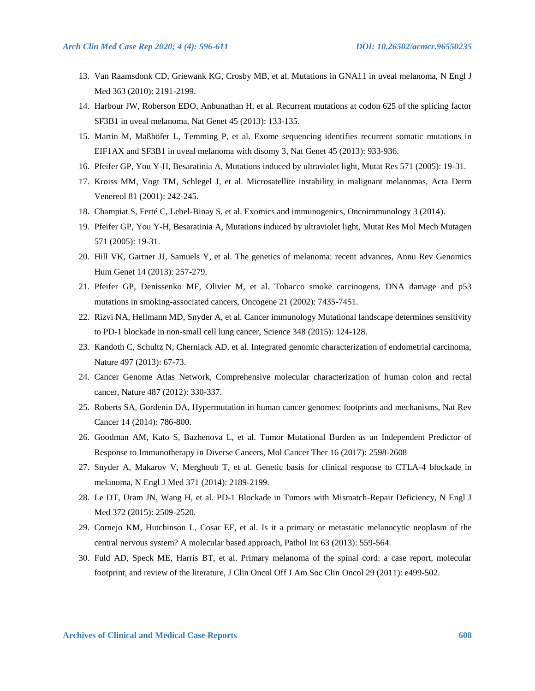- 13. Van Raamsdonk CD, Griewank KG, Crosby MB, et al. Mutations in GNA11 in uveal melanoma, N Engl J Med 363 (2010): 2191-2199.
- 14. Harbour JW, Roberson EDO, Anbunathan H, et al. Recurrent mutations at codon 625 of the splicing factor SF3B1 in uveal melanoma, Nat Genet 45 (2013): 133-135.
- 15. Martin M, Maßhöfer L, Temming P, et al. Exome sequencing identifies recurrent somatic mutations in EIF1AX and SF3B1 in uveal melanoma with disomy 3, Nat Genet 45 (2013): 933-936.
- 16. Pfeifer GP, You Y-H, Besaratinia A, Mutations induced by ultraviolet light, Mutat Res 571 (2005): 19-31.
- 17. Kroiss MM, Vogt TM, Schlegel J, et al. Microsatellite instability in malignant melanomas, Acta Derm Venereol 81 (2001): 242-245.
- 18. Champiat S, Ferté C, Lebel-Binay S, et al. Exomics and immunogenics, Oncoimmunology 3 (2014).
- 19. Pfeifer GP, You Y-H, Besaratinia A, Mutations induced by ultraviolet light, Mutat Res Mol Mech Mutagen 571 (2005): 19-31.
- 20. Hill VK, Gartner JJ, Samuels Y, et al. The genetics of melanoma: recent advances, Annu Rev Genomics Hum Genet 14 (2013): 257-279.
- 21. Pfeifer GP, Denissenko MF, Olivier M, et al. Tobacco smoke carcinogens, DNA damage and p53 mutations in smoking-associated cancers, Oncogene 21 (2002): 7435-7451.
- 22. Rizvi NA, Hellmann MD, Snyder A, et al. Cancer immunology Mutational landscape determines sensitivity to PD-1 blockade in non-small cell lung cancer, Science 348 (2015): 124-128.
- 23. Kandoth C, Schultz N, Cherniack AD, et al. Integrated genomic characterization of endometrial carcinoma, Nature 497 (2013): 67-73.
- 24. Cancer Genome Atlas Network, Comprehensive molecular characterization of human colon and rectal cancer, Nature 487 (2012): 330-337.
- 25. Roberts SA, Gordenin DA, Hypermutation in human cancer genomes: footprints and mechanisms, Nat Rev Cancer 14 (2014): 786-800.
- 26. Goodman AM, Kato S, Bazhenova L, et al. Tumor Mutational Burden as an Independent Predictor of Response to Immunotherapy in Diverse Cancers, Mol Cancer Ther 16 (2017): 2598-2608
- 27. Snyder A, Makarov V, Merghoub T, et al. Genetic basis for clinical response to CTLA-4 blockade in melanoma, N Engl J Med 371 (2014): 2189-2199.
- 28. Le DT, Uram JN, Wang H, et al. PD-1 Blockade in Tumors with Mismatch-Repair Deficiency, N Engl J Med 372 (2015): 2509-2520.
- 29. Cornejo KM, Hutchinson L, Cosar EF, et al. Is it a primary or metastatic melanocytic neoplasm of the central nervous system? A molecular based approach, Pathol Int 63 (2013): 559-564.
- 30. Fuld AD, Speck ME, Harris BT, et al. Primary melanoma of the spinal cord: a case report, molecular footprint, and review of the literature, J Clin Oncol Off J Am Soc Clin Oncol 29 (2011): e499-502.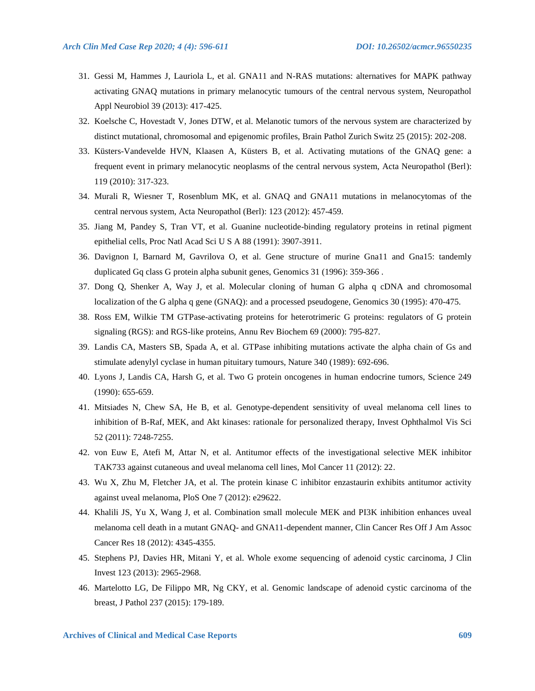- 31. Gessi M, Hammes J, Lauriola L, et al. GNA11 and N-RAS mutations: alternatives for MAPK pathway activating GNAQ mutations in primary melanocytic tumours of the central nervous system, Neuropathol Appl Neurobiol 39 (2013): 417-425.
- 32. Koelsche C, Hovestadt V, Jones DTW, et al. Melanotic tumors of the nervous system are characterized by distinct mutational, chromosomal and epigenomic profiles, Brain Pathol Zurich Switz 25 (2015): 202-208.
- 33. Küsters-Vandevelde HVN, Klaasen A, Küsters B, et al. Activating mutations of the GNAQ gene: a frequent event in primary melanocytic neoplasms of the central nervous system, Acta Neuropathol (Berl): 119 (2010): 317-323.
- 34. Murali R, Wiesner T, Rosenblum MK, et al. GNAQ and GNA11 mutations in melanocytomas of the central nervous system, Acta Neuropathol (Berl): 123 (2012): 457-459.
- 35. Jiang M, Pandey S, Tran VT, et al. Guanine nucleotide-binding regulatory proteins in retinal pigment epithelial cells, Proc Natl Acad Sci U S A 88 (1991): 3907-3911.
- 36. Davignon I, Barnard M, Gavrilova O, et al. Gene structure of murine Gna11 and Gna15: tandemly duplicated Gq class G protein alpha subunit genes, Genomics 31 (1996): 359-366 .
- 37. Dong Q, Shenker A, Way J, et al. Molecular cloning of human G alpha q cDNA and chromosomal localization of the G alpha q gene (GNAQ): and a processed pseudogene, Genomics 30 (1995): 470-475.
- 38. Ross EM, Wilkie TM GTPase-activating proteins for heterotrimeric G proteins: regulators of G protein signaling (RGS): and RGS-like proteins, Annu Rev Biochem 69 (2000): 795-827.
- 39. Landis CA, Masters SB, Spada A, et al. GTPase inhibiting mutations activate the alpha chain of Gs and stimulate adenylyl cyclase in human pituitary tumours, Nature 340 (1989): 692-696.
- 40. Lyons J, Landis CA, Harsh G, et al. Two G protein oncogenes in human endocrine tumors, Science 249 (1990): 655-659.
- 41. Mitsiades N, Chew SA, He B, et al. Genotype-dependent sensitivity of uveal melanoma cell lines to inhibition of B-Raf, MEK, and Akt kinases: rationale for personalized therapy, Invest Ophthalmol Vis Sci 52 (2011): 7248-7255.
- 42. von Euw E, Atefi M, Attar N, et al. Antitumor effects of the investigational selective MEK inhibitor TAK733 against cutaneous and uveal melanoma cell lines, Mol Cancer 11 (2012): 22.
- 43. Wu X, Zhu M, Fletcher JA, et al. The protein kinase C inhibitor enzastaurin exhibits antitumor activity against uveal melanoma, PloS One 7 (2012): e29622.
- 44. Khalili JS, Yu X, Wang J, et al. Combination small molecule MEK and PI3K inhibition enhances uveal melanoma cell death in a mutant GNAQ- and GNA11-dependent manner, Clin Cancer Res Off J Am Assoc Cancer Res 18 (2012): 4345-4355.
- 45. Stephens PJ, Davies HR, Mitani Y, et al. Whole exome sequencing of adenoid cystic carcinoma, J Clin Invest 123 (2013): 2965-2968.
- 46. Martelotto LG, De Filippo MR, Ng CKY, et al. Genomic landscape of adenoid cystic carcinoma of the breast, J Pathol 237 (2015): 179-189.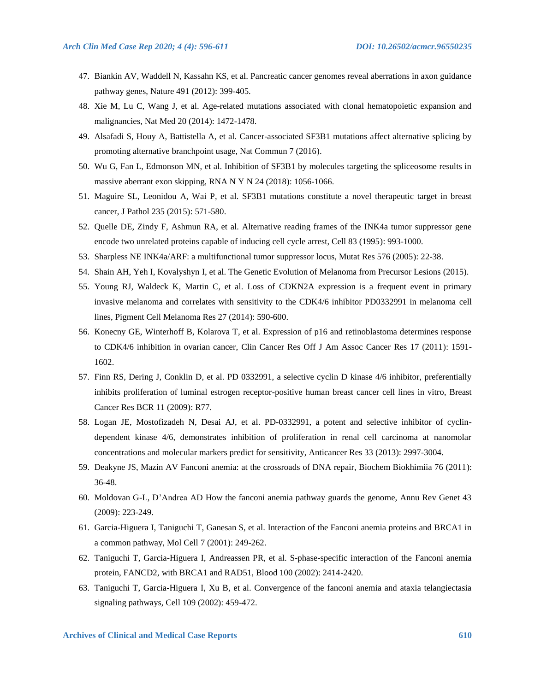- 47. Biankin AV, Waddell N, Kassahn KS, et al. Pancreatic cancer genomes reveal aberrations in axon guidance pathway genes, Nature 491 (2012): 399-405.
- 48. Xie M, Lu C, Wang J, et al. Age-related mutations associated with clonal hematopoietic expansion and malignancies, Nat Med 20 (2014): 1472-1478.
- 49. Alsafadi S, Houy A, Battistella A, et al. Cancer-associated SF3B1 mutations affect alternative splicing by promoting alternative branchpoint usage, Nat Commun 7 (2016).
- 50. Wu G, Fan L, Edmonson MN, et al. Inhibition of SF3B1 by molecules targeting the spliceosome results in massive aberrant exon skipping, RNA N Y N 24 (2018): 1056-1066.
- 51. Maguire SL, Leonidou A, Wai P, et al. SF3B1 mutations constitute a novel therapeutic target in breast cancer, J Pathol 235 (2015): 571-580.
- 52. Quelle DE, Zindy F, Ashmun RA, et al. Alternative reading frames of the INK4a tumor suppressor gene encode two unrelated proteins capable of inducing cell cycle arrest, Cell 83 (1995): 993-1000.
- 53. Sharpless NE INK4a/ARF: a multifunctional tumor suppressor locus, Mutat Res 576 (2005): 22-38.
- 54. Shain AH, Yeh I, Kovalyshyn I, et al. The Genetic Evolution of Melanoma from Precursor Lesions (2015).
- 55. Young RJ, Waldeck K, Martin C, et al. Loss of CDKN2A expression is a frequent event in primary invasive melanoma and correlates with sensitivity to the CDK4/6 inhibitor PD0332991 in melanoma cell lines, Pigment Cell Melanoma Res 27 (2014): 590-600.
- 56. Konecny GE, Winterhoff B, Kolarova T, et al. Expression of p16 and retinoblastoma determines response to CDK4/6 inhibition in ovarian cancer, Clin Cancer Res Off J Am Assoc Cancer Res 17 (2011): 1591- 1602.
- 57. Finn RS, Dering J, Conklin D, et al. PD 0332991, a selective cyclin D kinase 4/6 inhibitor, preferentially inhibits proliferation of luminal estrogen receptor-positive human breast cancer cell lines in vitro, Breast Cancer Res BCR 11 (2009): R77.
- 58. Logan JE, Mostofizadeh N, Desai AJ, et al. PD-0332991, a potent and selective inhibitor of cyclindependent kinase 4/6, demonstrates inhibition of proliferation in renal cell carcinoma at nanomolar concentrations and molecular markers predict for sensitivity, Anticancer Res 33 (2013): 2997-3004.
- 59. Deakyne JS, Mazin AV Fanconi anemia: at the crossroads of DNA repair, Biochem Biokhimiia 76 (2011): 36-48.
- 60. Moldovan G-L, D'Andrea AD How the fanconi anemia pathway guards the genome, Annu Rev Genet 43 (2009): 223-249.
- 61. Garcia-Higuera I, Taniguchi T, Ganesan S, et al. Interaction of the Fanconi anemia proteins and BRCA1 in a common pathway, Mol Cell 7 (2001): 249-262.
- 62. Taniguchi T, Garcia-Higuera I, Andreassen PR, et al. S-phase-specific interaction of the Fanconi anemia protein, FANCD2, with BRCA1 and RAD51, Blood 100 (2002): 2414-2420.
- 63. Taniguchi T, Garcia-Higuera I, Xu B, et al. Convergence of the fanconi anemia and ataxia telangiectasia signaling pathways, Cell 109 (2002): 459-472.